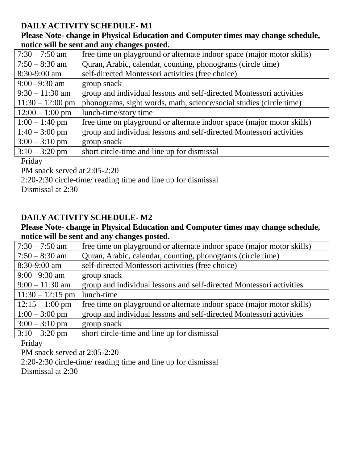## **DAILY ACTIVITY SCHEDULE- M1**

**Please Note- change in Physical Education and Computer times may change schedule, notice will be sent and any changes posted.**

| $7:30 - 7:50$ am   | free time on playground or alternate indoor space (major motor skills) |
|--------------------|------------------------------------------------------------------------|
| $7:50 - 8:30$ am   | Quran, Arabic, calendar, counting, phonograms (circle time)            |
| $8:30-9:00$ am     | self-directed Montessori activities (free choice)                      |
| $9:00 - 9:30$ am   | group snack                                                            |
| $9:30 - 11:30$ am  | group and individual lessons and self-directed Montessori activities   |
| $11:30 - 12:00$ pm | phonograms, sight words, math, science/social studies (circle time)    |
| $12:00 - 1:00$ pm  | lunch-time/story time                                                  |
| $1:00 - 1:40$ pm   | free time on playground or alternate indoor space (major motor skills) |
| $1:40 - 3:00$ pm   | group and individual lessons and self-directed Montessori activities   |
| $3:00 - 3:10$ pm   | group snack                                                            |
| $3:10 - 3:20$ pm   | short circle-time and line up for dismissal                            |
|                    |                                                                        |

## Friday

PM snack served at 2:05-2:20

2:20-2:30 circle-time/ reading time and line up for dismissal

Dismissal at 2:30

# **DAILY ACTIVITY SCHEDULE- M2**

### **Please Note- change in Physical Education and Computer times may change schedule, notice will be sent and any changes posted.**

| $7:30 - 7:50$ am   | free time on playground or alternate indoor space (major motor skills) |
|--------------------|------------------------------------------------------------------------|
| $7:50 - 8:30$ am   | Quran, Arabic, calendar, counting, phonograms (circle time)            |
| $8:30-9:00$ am     | self-directed Montessori activities (free choice)                      |
| $9:00 - 9:30$ am   | group snack                                                            |
| $9:00 - 11:30$ am  | group and individual lessons and self-directed Montessori activities   |
| $11:30 - 12:15$ pm | lunch-time                                                             |
| $12:15 - 1:00$ pm  | free time on playground or alternate indoor space (major motor skills) |
| $1:00 - 3:00$ pm   | group and individual lessons and self-directed Montessori activities   |
| $3:00 - 3:10$ pm   | group snack                                                            |
| $3:10 - 3:20$ pm   | short circle-time and line up for dismissal                            |

Friday

PM snack served at 2:05-2:20

2:20-2:30 circle-time/ reading time and line up for dismissal Dismissal at 2:30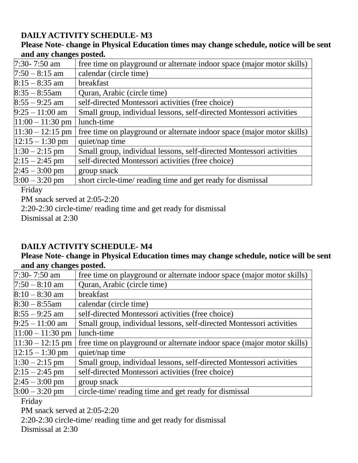# **DAILY ACTIVITY SCHEDULE- M3**

## **Please Note- change in Physical Education times may change schedule, notice will be sent and any changes posted.**

| $7:30 - 7:50$ am    | free time on playground or alternate indoor space (major motor skills) |
|---------------------|------------------------------------------------------------------------|
| $7:50 - 8:15$ am    | calendar (circle time)                                                 |
| $8:15 - 8:35$ am    | breakfast                                                              |
| $8:35 - 8:55$ am    | Quran, Arabic (circle time)                                            |
| $8:55 - 9:25$ am    | self-directed Montessori activities (free choice)                      |
| $9:25 - 11:00$ am   | Small group, individual lessons, self-directed Montessori activities   |
| $ 11:00 - 11:30$ pm | lunch-time                                                             |
| $11:30 - 12:15$ pm  | free time on playground or alternate indoor space (major motor skills) |
| $12:15 - 1:30$ pm   | quiet/nap time                                                         |
| $1:30 - 2:15$ pm    | Small group, individual lessons, self-directed Montessori activities   |
| $2:15 - 2:45$ pm    | self-directed Montessori activities (free choice)                      |
| $2:45 - 3:00$ pm    | group snack                                                            |
| $3:00 - 3:20$ pm    | short circle-time/ reading time and get ready for dismissal            |

Friday

PM snack served at 2:05-2:20

2:20-2:30 circle-time/ reading time and get ready for dismissal

Dismissal at 2:30

# **DAILY ACTIVITY SCHEDULE- M4**

### **Please Note- change in Physical Education times may change schedule, notice will be sent and any changes posted.**

| 7:30- 7:50 am       | free time on playground or alternate indoor space (major motor skills) |
|---------------------|------------------------------------------------------------------------|
| $7:50 - 8:10$ am    | Quran, Arabic (circle time)                                            |
| $8:10 - 8:30$ am    | breakfast                                                              |
| $8:30 - 8:55$ am    | calendar (circle time)                                                 |
| $8:55 - 9:25$ am    | self-directed Montessori activities (free choice)                      |
| $9:25 - 11:00$ am   | Small group, individual lessons, self-directed Montessori activities   |
| $ 11:00 - 11:30$ pm | lunch-time                                                             |
| $11:30 - 12:15$ pm  | free time on playground or alternate indoor space (major motor skills) |
| $ 12:15 - 1:30$ pm  | quiet/nap time                                                         |
| $1:30 - 2:15$ pm    | Small group, individual lessons, self-directed Montessori activities   |
| $2:15 - 2:45$ pm    | self-directed Montessori activities (free choice)                      |
| $2:45 - 3:00$ pm    | group snack                                                            |
| $3:00 - 3:20$ pm    | circle-time/ reading time and get ready for dismissal                  |
|                     |                                                                        |

Friday

PM snack served at 2:05-2:20

2:20-2:30 circle-time/ reading time and get ready for dismissal

Dismissal at 2:30